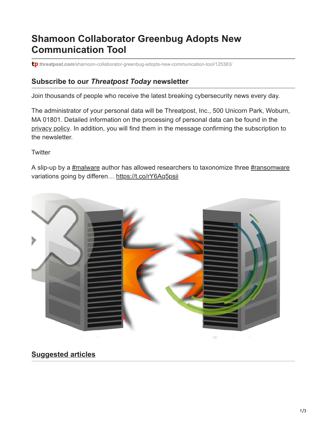# **Shamoon Collaborator Greenbug Adopts New Communication Tool**

tp threatpost.com[/shamoon-collaborator-greenbug-adopts-new-communication-tool/125383/](https://threatpost.com/shamoon-collaborator-greenbug-adopts-new-communication-tool/125383/)

#### **Subscribe to our** *Threatpost Today* **newsletter**

Join thousands of people who receive the latest breaking cybersecurity news every day.

The administrator of your personal data will be Threatpost, Inc., 500 Unicorn Park, Woburn, MA 01801. Detailed information on the processing of personal data can be found in the [privacy policy](https://threatpost.com/web-privacy-policy/). In addition, you will find them in the message confirming the subscription to the newsletter.

**Twitter** 

A slip-up by a [#malware](http://twitter.com/search?q=%23malware) author has allowed researchers to taxonomize three [#ransomware](http://twitter.com/search?q=%23ransomware) variations going by differen... <https://t.co/rY6Aq5psii>



### **Suggested articles**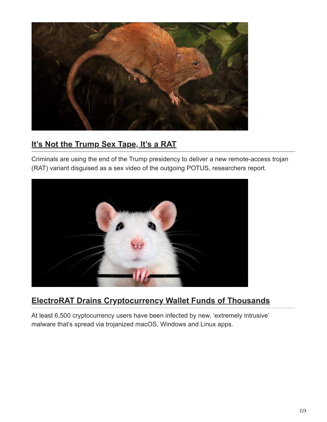

### **[It's Not the Trump Sex Tape, It's a RAT](https://threatpost.com/trump-sex-tape-rat/162810/)**

Criminals are using the end of the Trump presidency to deliver a new remote-access trojan (RAT) variant disguised as a sex video of the outgoing POTUS, researchers report.



## **[ElectroRAT Drains Cryptocurrency Wallet Funds of Thousands](https://threatpost.com/electrorat-drains-cryptocurrency-wallet-funds-of-thousands/162705/)**

At least 6,500 cryptocurrency users have been infected by new, 'extremely intrusive' malware that's spread via trojanized macOS, Windows and Linux apps.